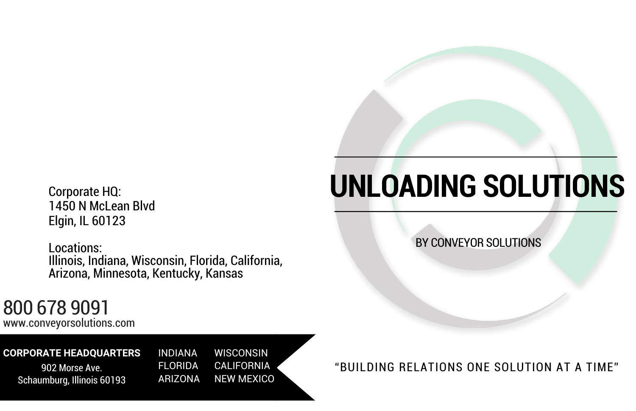# **UNLOADING SOLUTIONS**

BY CONVEYOR SOLUTIONS

#### "BUILDING RELATIONS ONE SOLUTION AT A TIME"

www.conveyorsolutions.com

### 800 678 9091

#### **CORPORATE HEADQUARTERS**

902 Morse Ave. Schaumburg, Illinois 60193

Corporate HQ: 1450 N McLean Blvd Elgin, IL 60123

Locations: Illinois, Indiana, Wisconsin, Florida, California, Arizona, Minnesota, Kentucky, Kansas

> INDIANA WISCONSIN FLORIDA CALIFORNIA ARIZONA NEW MEXICO